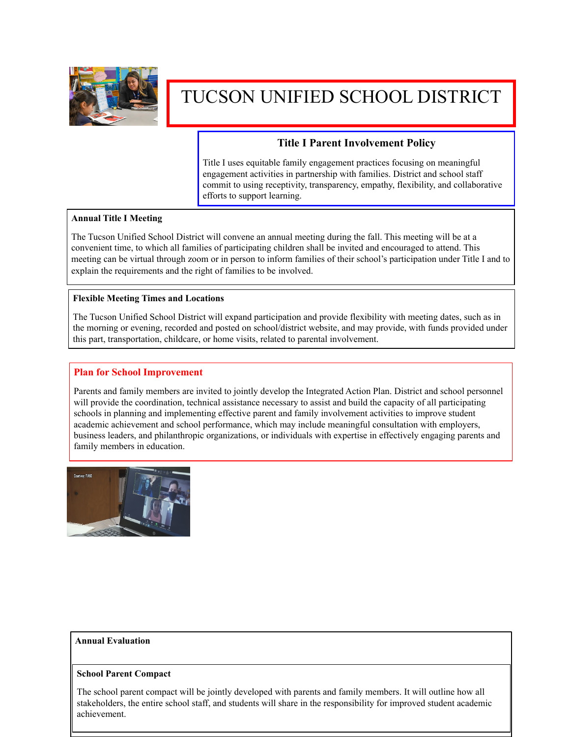

# TUCSON UNIFIED SCHOOL DISTRICT

## **Title I Parent Involvement Policy**

Title I uses equitable family engagement practices focusing on meaningful engagement activities in partnership with families. District and school staff commit to using receptivity, transparency, empathy, flexibility, and collaborative efforts to support learning.

## **Annual Title I Meeting**

The Tucson Unified School District will convene an annual meeting during the fall. This meeting will be at a convenient time, to which all families of participating children shall be invited and encouraged to attend. This meeting can be virtual through zoom or in person to inform families of their school's participation under Title I and to explain the requirements and the right of families to be involved.

### **Flexible Meeting Times and Locations**

The Tucson Unified School District will expand participation and provide flexibility with meeting dates, such as in the morning or evening, recorded and posted on school/district website, and may provide, with funds provided under this part, transportation, childcare, or home visits, related to parental involvement.

## **Plan for School Improvement**

Parents and family members are invited to jointly develop the Integrated Action Plan. District and school personnel will provide the coordination, technical assistance necessary to assist and build the capacity of all participating schools in planning and implementing effective parent and family involvement activities to improve student academic achievement and school performance, which may include meaningful consultation with employers, business leaders, and philanthropic organizations, or individuals with expertise in effectively engaging parents and family members in education.



### **Annual Evaluation**

### **School Parent Compact**

The school parent compact will be jointly developed with parents and family members. It will outline how all stakeholders, the entire school staff, and students will share in the responsibility for improved student academic achievement.